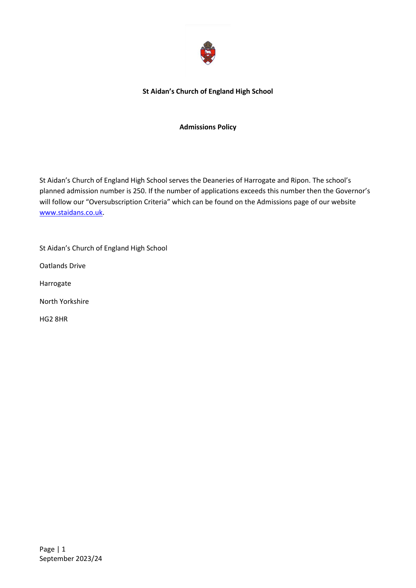

#### **St Aidan's Church of England High School**

#### **Admissions Policy**

St Aidan's Church of England High School serves the Deaneries of Harrogate and Ripon. The school's planned admission number is 250. If the number of applications exceeds this number then the Governor's will follow our "Oversubscription Criteria" which can be found on the Admissions page of our website [www.staidans.co.uk.](http://www.staidans.co.uk/)

St Aidan's Church of England High School Oatlands Drive Harrogate North Yorkshire HG2 8HR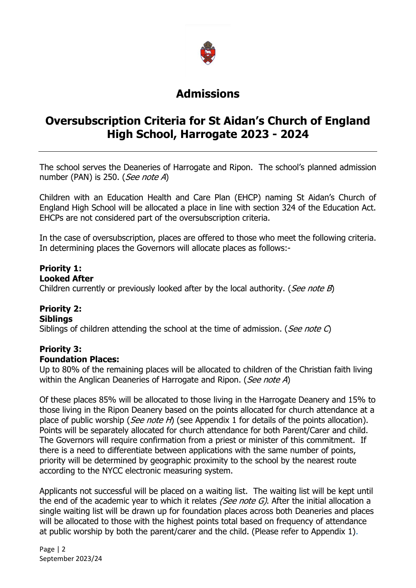

# **Admissions**

# **Oversubscription Criteria for St Aidan's Church of England High School, Harrogate 2023 - 2024**

The school serves the Deaneries of Harrogate and Ripon. The school's planned admission number (PAN) is 250. (See note A)

Children with an Education Health and Care Plan (EHCP) naming St Aidan's Church of England High School will be allocated a place in line with section 324 of the Education Act. EHCPs are not considered part of the oversubscription criteria.

In the case of oversubscription, places are offered to those who meet the following criteria. In determining places the Governors will allocate places as follows:-

#### **Priority 1: Looked After**

Children currently or previously looked after by the local authority. (*See note B*)

#### **Priority 2: Siblings**

Siblings of children attending the school at the time of admission. (*See note C*)

#### **Priority 3: Foundation Places:**

Up to 80% of the remaining places will be allocated to children of the Christian faith living within the Anglican Deaneries of Harrogate and Ripon. (See note A)

Of these places 85% will be allocated to those living in the Harrogate Deanery and 15% to those living in the Ripon Deanery based on the points allocated for church attendance at a place of public worship (*See note H*) (see Appendix 1 for details of the points allocation). Points will be separately allocated for church attendance for both Parent/Carer and child. The Governors will require confirmation from a priest or minister of this commitment. If there is a need to differentiate between applications with the same number of points, priority will be determined by geographic proximity to the school by the nearest route according to the NYCC electronic measuring system.

Applicants not successful will be placed on a waiting list. The waiting list will be kept until the end of the academic year to which it relates *(See note G)*. After the initial allocation a single waiting list will be drawn up for foundation places across both Deaneries and places will be allocated to those with the highest points total based on frequency of attendance at public worship by both the parent/carer and the child. (Please refer to Appendix 1).

Page | 2 September 2023/24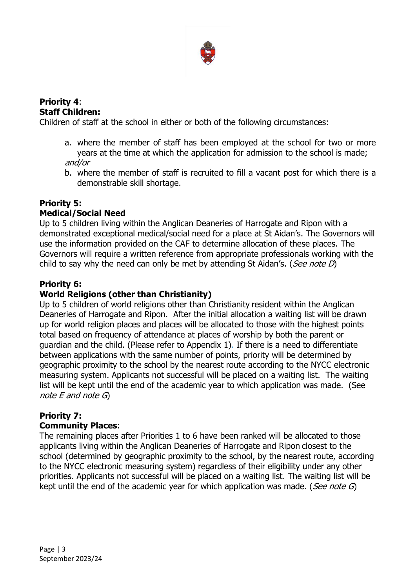

#### **Priority 4**: **Staff Children:**

Children of staff at the school in either or both of the following circumstances:

- a. where the member of staff has been employed at the school for two or more years at the time at which the application for admission to the school is made; and/or
- b. where the member of staff is recruited to fill a vacant post for which there is a demonstrable skill shortage.

## **Priority 5:**

### **Medical/Social Need**

Up to 5 children living within the Anglican Deaneries of Harrogate and Ripon with a demonstrated exceptional medical/social need for a place at St Aidan's. The Governors will use the information provided on the CAF to determine allocation of these places. The Governors will require a written reference from appropriate professionals working with the child to say why the need can only be met by attending St Aidan's. (*See note D*)

### **Priority 6:**

#### **World Religions (other than Christianity)**

Up to 5 children of world religions other than Christianity resident within the Anglican Deaneries of Harrogate and Ripon. After the initial allocation a waiting list will be drawn up for world religion places and places will be allocated to those with the highest points total based on frequency of attendance at places of worship by both the parent or guardian and the child. (Please refer to Appendix 1). If there is a need to differentiate between applications with the same number of points, priority will be determined by geographic proximity to the school by the nearest route according to the NYCC electronic measuring system. Applicants not successful will be placed on a waiting list. The waiting list will be kept until the end of the academic year to which application was made. (See note E and note G)

# **Priority 7:**

#### **Community Places**:

The remaining places after Priorities 1 to 6 have been ranked will be allocated to those applicants living within the Anglican Deaneries of Harrogate and Ripon closest to the school (determined by geographic proximity to the school, by the nearest route, according to the NYCC electronic measuring system) regardless of their eligibility under any other priorities. Applicants not successful will be placed on a waiting list. The waiting list will be kept until the end of the academic year for which application was made. (*See note G*)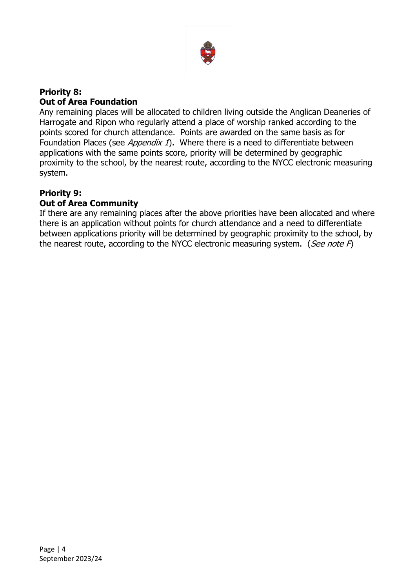

#### **Priority 8: Out of Area Foundation**

Any remaining places will be allocated to children living outside the Anglican Deaneries of Harrogate and Ripon who regularly attend a place of worship ranked according to the points scored for church attendance. Points are awarded on the same basis as for Foundation Places (see *Appendix 1*). Where there is a need to differentiate between applications with the same points score, priority will be determined by geographic proximity to the school, by the nearest route, according to the NYCC electronic measuring system.

# **Priority 9:**

#### **Out of Area Community**

If there are any remaining places after the above priorities have been allocated and where there is an application without points for church attendance and a need to differentiate between applications priority will be determined by geographic proximity to the school, by the nearest route, according to the NYCC electronic measuring system. (See note  $F$ )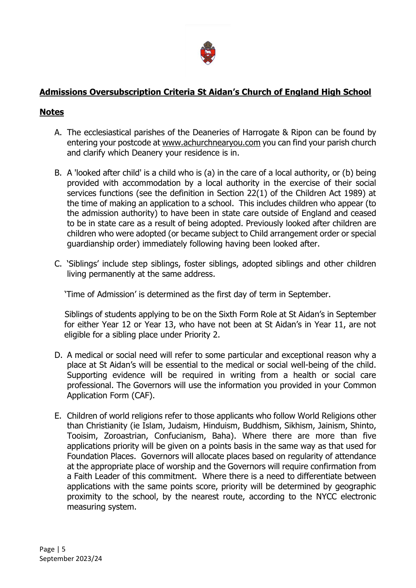

## **Admissions Oversubscription Criteria St Aidan's Church of England High School**

#### **Notes**

- A. The ecclesiastical parishes of the Deaneries of Harrogate & Ripon can be found by entering your postcode at [www.achurchnearyou.com](http://www.achurchnearyou.com/) you can find your parish church and clarify which Deanery your residence is in.
- B. A 'looked after child' is a child who is (a) in the care of a local authority, or (b) being provided with accommodation by a local authority in the exercise of their social services functions (see the definition in Section 22(1) of the Children Act 1989) at the time of making an application to a school. This includes children who appear (to the admission authority) to have been in state care outside of England and ceased to be in state care as a result of being adopted. Previously looked after children are children who were adopted (or became subject to Child arrangement order or special guardianship order) immediately following having been looked after.
- C. 'Siblings' include step siblings, foster siblings, adopted siblings and other children living permanently at the same address.

'Time of Admission' is determined as the first day of term in September.

Siblings of students applying to be on the Sixth Form Role at St Aidan's in September for either Year 12 or Year 13, who have not been at St Aidan's in Year 11, are not eligible for a sibling place under Priority 2.

- D. A medical or social need will refer to some particular and exceptional reason why a place at St Aidan's will be essential to the medical or social well-being of the child. Supporting evidence will be required in writing from a health or social care professional. The Governors will use the information you provided in your Common Application Form (CAF).
- E. Children of world religions refer to those applicants who follow World Religions other than Christianity (ie Islam, Judaism, Hinduism, Buddhism, Sikhism, Jainism, Shinto, Tooisim, Zoroastrian, Confucianism, Baha). Where there are more than five applications priority will be given on a points basis in the same way as that used for Foundation Places. Governors will allocate places based on regularity of attendance at the appropriate place of worship and the Governors will require confirmation from a Faith Leader of this commitment. Where there is a need to differentiate between applications with the same points score, priority will be determined by geographic proximity to the school, by the nearest route, according to the NYCC electronic measuring system.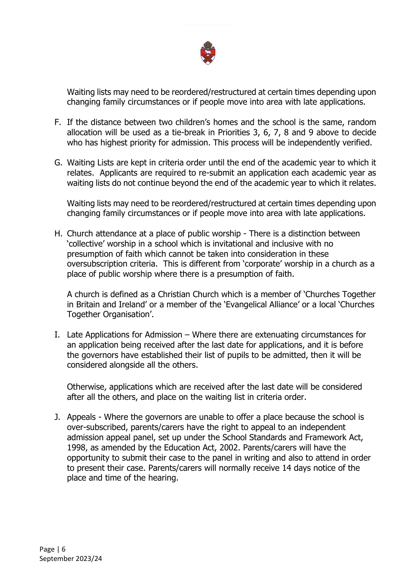

Waiting lists may need to be reordered/restructured at certain times depending upon changing family circumstances or if people move into area with late applications.

- F. If the distance between two children's homes and the school is the same, random allocation will be used as a tie-break in Priorities 3, 6, 7, 8 and 9 above to decide who has highest priority for admission. This process will be independently verified.
- G. Waiting Lists are kept in criteria order until the end of the academic year to which it relates. Applicants are required to re-submit an application each academic year as waiting lists do not continue beyond the end of the academic year to which it relates.

Waiting lists may need to be reordered/restructured at certain times depending upon changing family circumstances or if people move into area with late applications.

H. Church attendance at a place of public worship - There is a distinction between 'collective' worship in a school which is invitational and inclusive with no presumption of faith which cannot be taken into consideration in these oversubscription criteria. This is different from 'corporate' worship in a church as a place of public worship where there is a presumption of faith.

A church is defined as a Christian Church which is a member of 'Churches Together in Britain and Ireland' or a member of the 'Evangelical Alliance' or a local 'Churches Together Organisation'.

I. Late Applications for Admission – Where there are extenuating circumstances for an application being received after the last date for applications, and it is before the governors have established their list of pupils to be admitted, then it will be considered alongside all the others.

Otherwise, applications which are received after the last date will be considered after all the others, and place on the waiting list in criteria order.

J. Appeals - Where the governors are unable to offer a place because the school is over-subscribed, parents/carers have the right to appeal to an independent admission appeal panel, set up under the School Standards and Framework Act, 1998, as amended by the Education Act, 2002. Parents/carers will have the opportunity to submit their case to the panel in writing and also to attend in order to present their case. Parents/carers will normally receive 14 days notice of the place and time of the hearing.